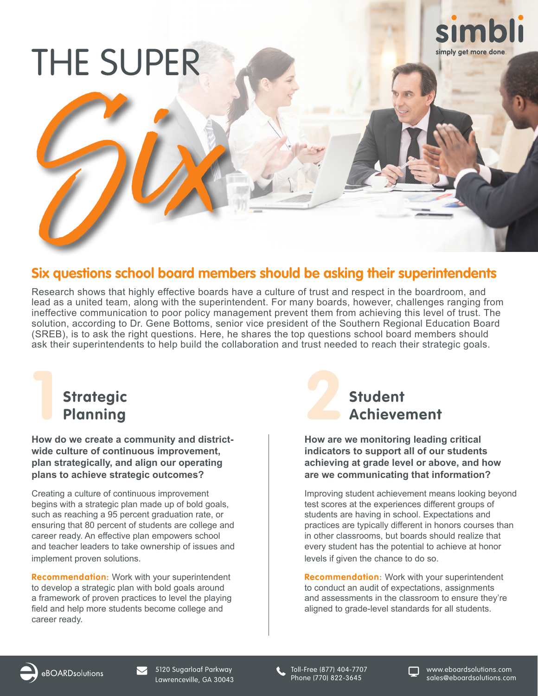# THE SUPER



# **Six questions school board members should be asking their superintendents** Six

Research shows that highly effective boards have a culture of trust and respect in the boardroom, and lead as a united team, along with the superintendent. For many boards, however, challenges ranging from ineffective communication to poor policy management prevent them from achieving this level of trust. The solution, according to Dr. Gene Bottoms, senior vice president of the Southern Regional Education Board (SREB), is to ask the right questions. Here, he shares the top questions school board members should ask their superintendents to help build the collaboration and trust needed to reach their strategic goals.

## **1 Strategic Planning**<br>Planning<br>**22**

**How do we create a community and districtwide culture of continuous improvement, plan strategically, and align our operating plans to achieve strategic outcomes?**

Creating a culture of continuous improvement begins with a strategic plan made up of bold goals, such as reaching a 95 percent graduation rate, or ensuring that 80 percent of students are college and career ready. An effective plan empowers school and teacher leaders to take ownership of issues and implement proven solutions.

**Recommendation:** Work with your superintendent to develop a strategic plan with bold goals around a framework of proven practices to level the playing field and help more students become college and career ready.



**How are we monitoring leading critical indicators to support all of our students achieving at grade level or above, and how are we communicating that information?**

Improving student achievement means looking beyond test scores at the experiences different groups of students are having in school. Expectations and practices are typically different in honors courses than in other classrooms, but boards should realize that every student has the potential to achieve at honor levels if given the chance to do so.

**Recommendation:** Work with your superintendent to conduct an audit of expectations, assignments and assessments in the classroom to ensure they're aligned to grade-level standards for all students.

Toll-Free (877) 404-7707 Phone (770) 822-3645